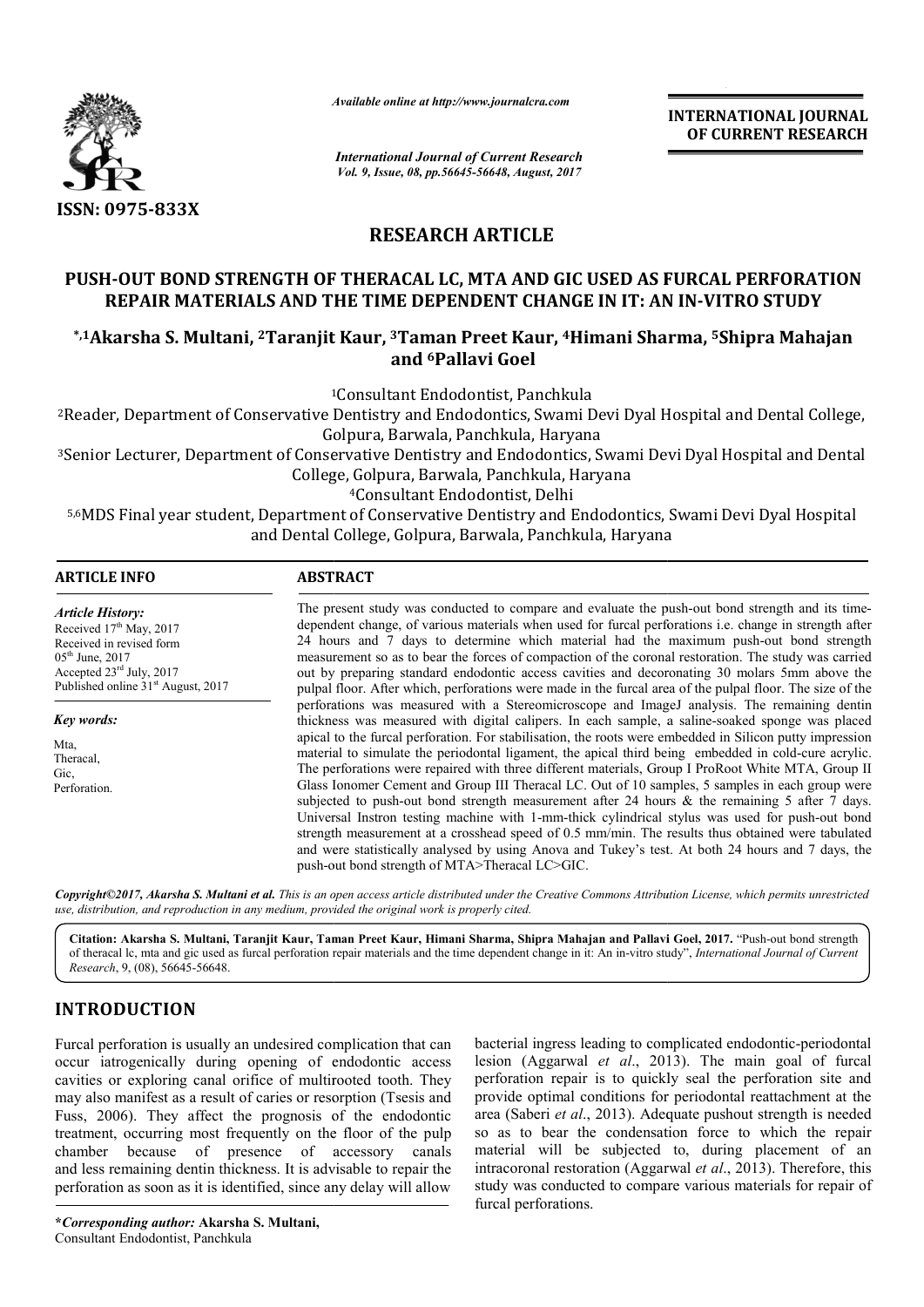

*Available online at http://www.journal http://www.journalcra.com*

## **RESEARCH ARTICLE**

# PUSH-OUT BOND STRENGTH OF THERACAL LC, MTA AND GIC USED AS FURCAL PERFORATION REPAIR MATERIALS AND THE TIME DEPENDENT CHANGE IN IT: AN IN-VITRO STUDY USH-OUT BOND STRENGTH OF THERACAL LC, MTA AND GIC USED AS FURCAL PERFORATIO!<br>REPAIR MATERIALS AND THE TIME DEPENDENT CHANGE IN IT: AN IN-VITRO STUDY<br>1-1Akarsha S. Multani, <sup>2</sup>Taranjit Kaur, <sup>3</sup>Taman Preet Kaur, <sup>4</sup>Himani S

# **and 6Pallavi Goel**

|                                                                                                                                                                                             | л гипион опине иг нир.// www.journancra.com                                                                                                                                                                                                                                                                                                                                                                                                                                                                                                                                                                                                                                                                                                                                                                                                                                                                                                                                                                                                                                                                                                                                                                                                                                                                                                                                                                                                                                                                                                                                                                                                                                                                                   |  | <b>INTERNATIONAL JOURNAL</b><br>OF CURRENT RESEARCH                                                                                                                                                                                                                                                                                                                                                                                                                                                                                                                                           |
|---------------------------------------------------------------------------------------------------------------------------------------------------------------------------------------------|-------------------------------------------------------------------------------------------------------------------------------------------------------------------------------------------------------------------------------------------------------------------------------------------------------------------------------------------------------------------------------------------------------------------------------------------------------------------------------------------------------------------------------------------------------------------------------------------------------------------------------------------------------------------------------------------------------------------------------------------------------------------------------------------------------------------------------------------------------------------------------------------------------------------------------------------------------------------------------------------------------------------------------------------------------------------------------------------------------------------------------------------------------------------------------------------------------------------------------------------------------------------------------------------------------------------------------------------------------------------------------------------------------------------------------------------------------------------------------------------------------------------------------------------------------------------------------------------------------------------------------------------------------------------------------------------------------------------------------|--|-----------------------------------------------------------------------------------------------------------------------------------------------------------------------------------------------------------------------------------------------------------------------------------------------------------------------------------------------------------------------------------------------------------------------------------------------------------------------------------------------------------------------------------------------------------------------------------------------|
|                                                                                                                                                                                             | <b>International Journal of Current Research</b><br>Vol. 9, Issue, 08, pp.56645-56648, August, 2017                                                                                                                                                                                                                                                                                                                                                                                                                                                                                                                                                                                                                                                                                                                                                                                                                                                                                                                                                                                                                                                                                                                                                                                                                                                                                                                                                                                                                                                                                                                                                                                                                           |  |                                                                                                                                                                                                                                                                                                                                                                                                                                                                                                                                                                                               |
| ISSN: 0975-833X                                                                                                                                                                             |                                                                                                                                                                                                                                                                                                                                                                                                                                                                                                                                                                                                                                                                                                                                                                                                                                                                                                                                                                                                                                                                                                                                                                                                                                                                                                                                                                                                                                                                                                                                                                                                                                                                                                                               |  |                                                                                                                                                                                                                                                                                                                                                                                                                                                                                                                                                                                               |
|                                                                                                                                                                                             | <b>RESEARCH ARTICLE</b>                                                                                                                                                                                                                                                                                                                                                                                                                                                                                                                                                                                                                                                                                                                                                                                                                                                                                                                                                                                                                                                                                                                                                                                                                                                                                                                                                                                                                                                                                                                                                                                                                                                                                                       |  |                                                                                                                                                                                                                                                                                                                                                                                                                                                                                                                                                                                               |
|                                                                                                                                                                                             | REPAIR MATERIALS AND THE TIME DEPENDENT CHANGE IN IT: AN IN-VITRO STUDY                                                                                                                                                                                                                                                                                                                                                                                                                                                                                                                                                                                                                                                                                                                                                                                                                                                                                                                                                                                                                                                                                                                                                                                                                                                                                                                                                                                                                                                                                                                                                                                                                                                       |  | PUSH-OUT BOND STRENGTH OF THERACAL LC, MTA AND GIC USED AS FURCAL PERFORATION                                                                                                                                                                                                                                                                                                                                                                                                                                                                                                                 |
|                                                                                                                                                                                             | and <sup>6</sup> Pallavi Goel                                                                                                                                                                                                                                                                                                                                                                                                                                                                                                                                                                                                                                                                                                                                                                                                                                                                                                                                                                                                                                                                                                                                                                                                                                                                                                                                                                                                                                                                                                                                                                                                                                                                                                 |  | <sup>*,1</sup> Akarsha S. Multani, <sup>2</sup> Taranjit Kaur, <sup>3</sup> Taman Preet Kaur, <sup>4</sup> Himani Sharma, <sup>5</sup> Shipra Mahajan                                                                                                                                                                                                                                                                                                                                                                                                                                         |
|                                                                                                                                                                                             | <sup>1</sup> Consultant Endodontist, Panchkula<br>Golpura, Barwala, Panchkula, Haryana                                                                                                                                                                                                                                                                                                                                                                                                                                                                                                                                                                                                                                                                                                                                                                                                                                                                                                                                                                                                                                                                                                                                                                                                                                                                                                                                                                                                                                                                                                                                                                                                                                        |  | <sup>2</sup> Reader, Department of Conservative Dentistry and Endodontics, Swami Devi Dyal Hospital and Dental College,                                                                                                                                                                                                                                                                                                                                                                                                                                                                       |
|                                                                                                                                                                                             | College, Golpura, Barwala, Panchkula, Haryana<br><sup>4</sup> Consultant Endodontist, Delhi                                                                                                                                                                                                                                                                                                                                                                                                                                                                                                                                                                                                                                                                                                                                                                                                                                                                                                                                                                                                                                                                                                                                                                                                                                                                                                                                                                                                                                                                                                                                                                                                                                   |  | <sup>3</sup> Senior Lecturer, Department of Conservative Dentistry and Endodontics, Swami Devi Dyal Hospital and Dental                                                                                                                                                                                                                                                                                                                                                                                                                                                                       |
|                                                                                                                                                                                             | and Dental College, Golpura, Barwala, Panchkula, Haryana                                                                                                                                                                                                                                                                                                                                                                                                                                                                                                                                                                                                                                                                                                                                                                                                                                                                                                                                                                                                                                                                                                                                                                                                                                                                                                                                                                                                                                                                                                                                                                                                                                                                      |  | 5,6MDS Final year student, Department of Conservative Dentistry and Endodontics, Swami Devi Dyal Hospital                                                                                                                                                                                                                                                                                                                                                                                                                                                                                     |
| <b>ARTICLE INFO</b>                                                                                                                                                                         | <b>ABSTRACT</b>                                                                                                                                                                                                                                                                                                                                                                                                                                                                                                                                                                                                                                                                                                                                                                                                                                                                                                                                                                                                                                                                                                                                                                                                                                                                                                                                                                                                                                                                                                                                                                                                                                                                                                               |  |                                                                                                                                                                                                                                                                                                                                                                                                                                                                                                                                                                                               |
| <b>Article History:</b><br>Received 17th May, 2017<br>Received in revised form<br>05 <sup>th</sup> June, 2017<br>Accepted 23rd July, 2017<br>Published online 31 <sup>st</sup> August, 2017 | The present study was conducted to compare and evaluate the push-out bond strength and its time-<br>dependent change, of various materials when used for furcal perforations i.e. change in strength after<br>24 hours and 7 days to determine which material had the maximum push-out bond strength<br>measurement so as to bear the forces of compaction of the coronal restoration. The study was carried<br>out by preparing standard endodontic access cavities and decoronating 30 molars 5mm above the<br>pulpal floor. After which, perforations were made in the furcal area of the pulpal floor. The size of the<br>perforations was measured with a Stereomicroscope and ImageJ analysis. The remaining dentin<br>thickness was measured with digital calipers. In each sample, a saline-soaked sponge was placed<br>apical to the furcal perforation. For stabilisation, the roots were embedded in Silicon putty impression<br>material to simulate the periodontal ligament, the apical third being embedded in cold-cure acrylic.<br>The perforations were repaired with three different materials, Group I ProRoot White MTA, Group II<br>Glass Ionomer Cement and Group III Theracal LC. Out of 10 samples, 5 samples in each group were<br>subjected to push-out bond strength measurement after 24 hours $\&$ the remaining 5 after 7 days.<br>Universal Instron testing machine with 1-mm-thick cylindrical stylus was used for push-out bond<br>strength measurement at a crosshead speed of 0.5 mm/min. The results thus obtained were tabulated<br>and were statistically analysed by using Anova and Tukey's test. At both 24 hours and 7 days, the<br>push-out bond strength of MTA>Theracal LC>GIC. |  |                                                                                                                                                                                                                                                                                                                                                                                                                                                                                                                                                                                               |
| Key words:<br>Mta,<br>Theracal,<br>Gic,<br>Perforation.                                                                                                                                     |                                                                                                                                                                                                                                                                                                                                                                                                                                                                                                                                                                                                                                                                                                                                                                                                                                                                                                                                                                                                                                                                                                                                                                                                                                                                                                                                                                                                                                                                                                                                                                                                                                                                                                                               |  |                                                                                                                                                                                                                                                                                                                                                                                                                                                                                                                                                                                               |
|                                                                                                                                                                                             | use, distribution, and reproduction in any medium, provided the original work is properly cited.                                                                                                                                                                                                                                                                                                                                                                                                                                                                                                                                                                                                                                                                                                                                                                                                                                                                                                                                                                                                                                                                                                                                                                                                                                                                                                                                                                                                                                                                                                                                                                                                                              |  | Copyright©2017, Akarsha S. Multani et al. This is an open access article distributed under the Creative Commons Attribution License, which permits unrestricted                                                                                                                                                                                                                                                                                                                                                                                                                               |
| Research, 9, (08), 56645-56648.                                                                                                                                                             |                                                                                                                                                                                                                                                                                                                                                                                                                                                                                                                                                                                                                                                                                                                                                                                                                                                                                                                                                                                                                                                                                                                                                                                                                                                                                                                                                                                                                                                                                                                                                                                                                                                                                                                               |  | Citation: Akarsha S. Multani, Taranjit Kaur, Taman Preet Kaur, Himani Sharma, Shipra Mahajan and Pallavi Goel, 2017. "Push-out bond strength<br>of theracal lc, mta and gic used as furcal perforation repair materials and the time dependent change in it: An in-vitro study", International Journal of Current                                                                                                                                                                                                                                                                             |
| <b>INTRODUCTION</b>                                                                                                                                                                         |                                                                                                                                                                                                                                                                                                                                                                                                                                                                                                                                                                                                                                                                                                                                                                                                                                                                                                                                                                                                                                                                                                                                                                                                                                                                                                                                                                                                                                                                                                                                                                                                                                                                                                                               |  |                                                                                                                                                                                                                                                                                                                                                                                                                                                                                                                                                                                               |
| chamber<br>perforation as soon as it is identified, since any delay will allow                                                                                                              | Furcal perforation is usually an undesired complication that can<br>occur iatrogenically during opening of endodontic access<br>cavities or exploring canal orifice of multirooted tooth. They<br>may also manifest as a result of caries or resorption (Tsesis and<br>Fuss, 2006). They affect the prognosis of the endodontic<br>treatment, occurring most frequently on the floor of the pulp<br>because of presence of accessory<br>canals<br>and less remaining dentin thickness. It is advisable to repair the                                                                                                                                                                                                                                                                                                                                                                                                                                                                                                                                                                                                                                                                                                                                                                                                                                                                                                                                                                                                                                                                                                                                                                                                          |  | bacterial ingress leading to complicated endodontic-periodontal<br>lesion (Aggarwal et al., 2013). The main goal of furcal<br>perforation repair is to quickly seal the perforation site and<br>provide optimal conditions for periodontal reattachment at the<br>area (Saberi et al., 2013). Adequate pushout strength is needed<br>so as to bear the condensation force to which the repair<br>material will be subjected to, during placement of an<br>intracoronal restoration (Aggarwal et al., 2013). Therefore, this<br>study was conducted to compare various materials for repair of |

## **INTRODUCTION**

lesion (Aggarwal et al., 2013). The main goal of furcal perforation repair is to quickly seal the perforation site and<br>provide optimal conditions for periodontal reattachment at the provide optimal conditions for periodontal reattachment at area (Saberi *et al*., 2013). Adequate pushout strength is needed so as to bear the condensation force to which the repair area (Saberi *et al.*, 2013). Adequate pushout strength is needed so as to bear the condensation force to which the repair material will be subjected to, during placement of an intracoronal restoration (Aggarwal et al., 2013). Therefore, this study was conducted to compare various materials for repair of furcal perforations. bacterial ingress leading to complicated endodontic-periodontal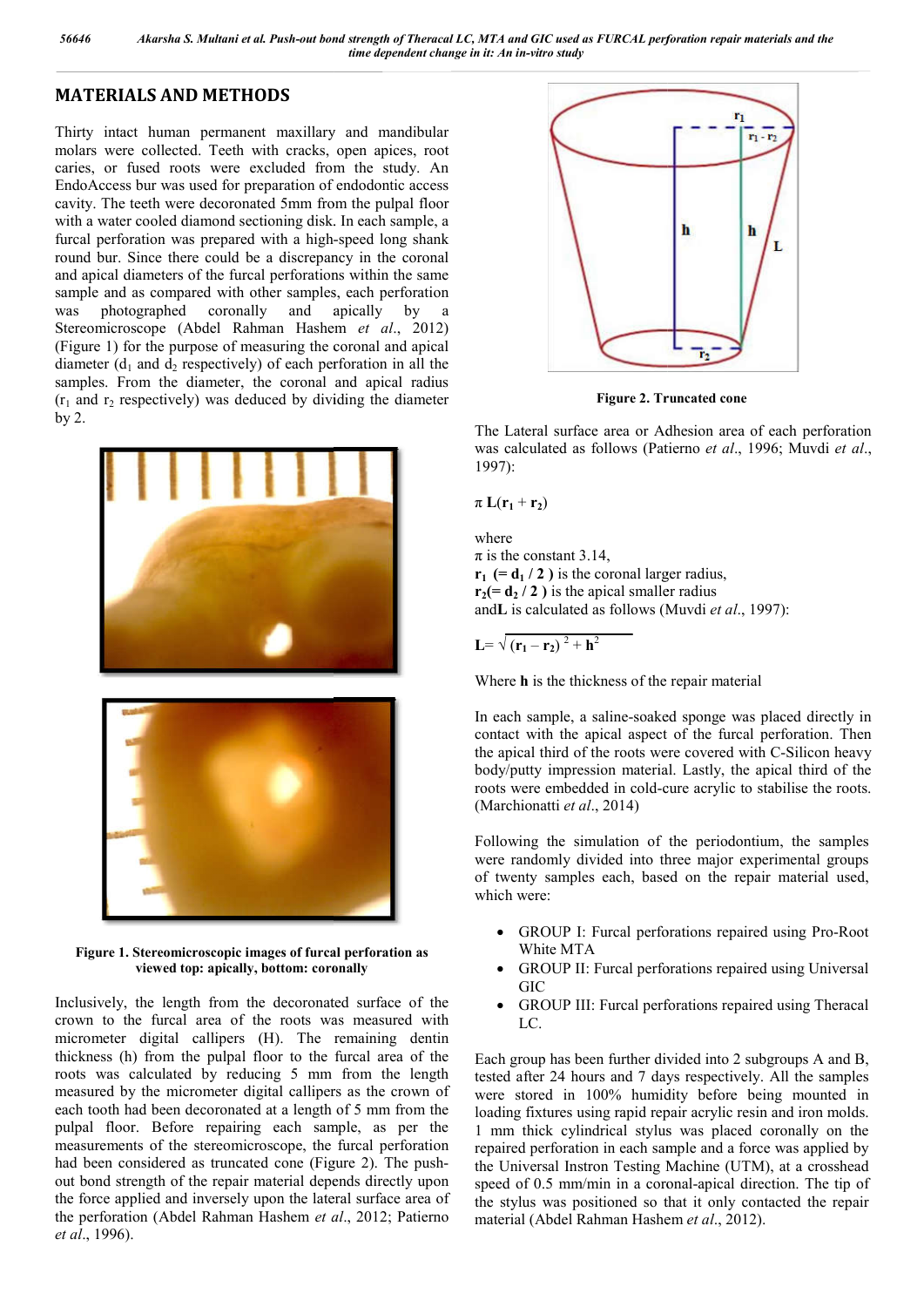## **MATERIALS AND METHODS**

Thirty intact human permanent maxillary and mandibular molars were collected. Teeth with cracks, open apices, root caries, or fused roots were excluded from the study. An EndoAccess bur was used for preparation of endodontic access cavity. The teeth were decoronated 5mm from the pulpal floor with a water cooled diamond sectioning disk. In each sample, a furcal perforation was prepared with a high-speed long shank round bur. Since there could be a discrepancy in the coronal and apical diameters of the furcal perforations within the same sample and as compared with other samples, each perforation was photographed coronally and apically by a Stereomicroscope (Abdel Rahman Hashem et al., 2012) (Figure 1) for the purpose of measuring the coronal and apical diameter  $(d_1$  and  $d_2$  respectively) of each perforation in all the samples. From the diameter, the coronal and apical radius  $(r_1$  and  $r_2$  respectively) was deduced by dividing the diameter by 2.



**Figure 1. Stereomicroscopic images of furcal perforation as viewed top: apically, bottom: coronally :** 

Inclusively, the length from the decoronated surface of the crown to the furcal area of the roots was measured with micrometer digital callipers (H). The remaining dentin thickness (h) from the pulpal floor to the furcal area of the roots was calculated by reducing 5 mm from the length measured by the micrometer digital callipers as the crown of each tooth had been decoronated at a length of 5 mm from the pulpal floor. Before repairing each sample, as per the measurements of the stereomicroscope, the furcal perforation had been considered as truncated cone (Figure 2). The pushout bond strength of the repair material depends directly upon the force applied and inversely upon the lateral surface area of the perforation (Abdel Rahman Hashem *et al* ., 2012; Patierno *et al*., 1996).



**Figure 2. Truncated cone**

The Lateral surface area or Adhesion area of each perforation was calculated as follows (Patierno *et al.*, 1996; Muvdi *et al.*, 1997):

 $\pi L(r_1 + r_2)$ 

where  $\pi$  is the constant 3.14,  $\mathbf{r}_1$  (=  $\mathbf{d}_1$  / 2 ) is the coronal larger radius,  $r_2 (= d_2 / 2)$  is the apical smaller radius andL is calculated as follows (Muvdi et al., 1997):

$$
L = \sqrt{(r_1 - r_2)^2 + h^2}
$$

Where **h** is the thickness of the repair material

In each sample, a saline-soaked sponge was placed directly in contact with the apical aspect of the furcal perforation. Then the apical third of the roots were covered with C-Silicon heavy body/putty impression material. Lastly, the apical third of the roots were embedded in cold-cure acrylic to stabilise the roots. (Marchionatti *et al*., 2014) a saline-soaked sponge was placed directly in<br>e apical aspect of the furcal perforation. Then<br>of the roots were covered with C-Silicon heavy

Following the simulation of the periodontium, the samples were randomly divided into three major experimental groups of twenty samples each, based on the repair material used, which were: impression material. Lastly, the apical third of the embedded in cold-cure acrylic to stabilise the roots.<br>tti *et al.*, 2014)<br>the simulation of the periodontium, the samples<br>mly divided into three major experimental group

- GROUP I: Furcal perforations repaired using Pro-Root White MTA
- GROUP II: Furcal perforations repaired using Universal GIC
- GROUP III: Furcal perforations repaired using Theracal LC.

Each group has been further divided into 2 subgroups A and B, Each group has been further divided into 2 subgroups A and B, tested after 24 hours and 7 days respectively. All the samples were stored in 100% humidity before being mounted in loading fixtures using rapid repair acrylic resin and iron molds. 1 mm thick cylindrical stylus was placed coronally on the repaired perforation in each sample and a force was applied by the Universal Instron Testing Machine (UTM), at a crosshead speed of 0.5 mm/min in a coronal-apical direction. The tip of the stylus was positioned so that it only contacted the repair material (Abdel Rahman Hashem et al., 2012). loading fixtures using rapid repair acrylic resin and iron molds.<br>1 mm thick cylindrical stylus was placed coronally on the repaired perforation in each sample and a force was applied by the Universal Instron Testing Machi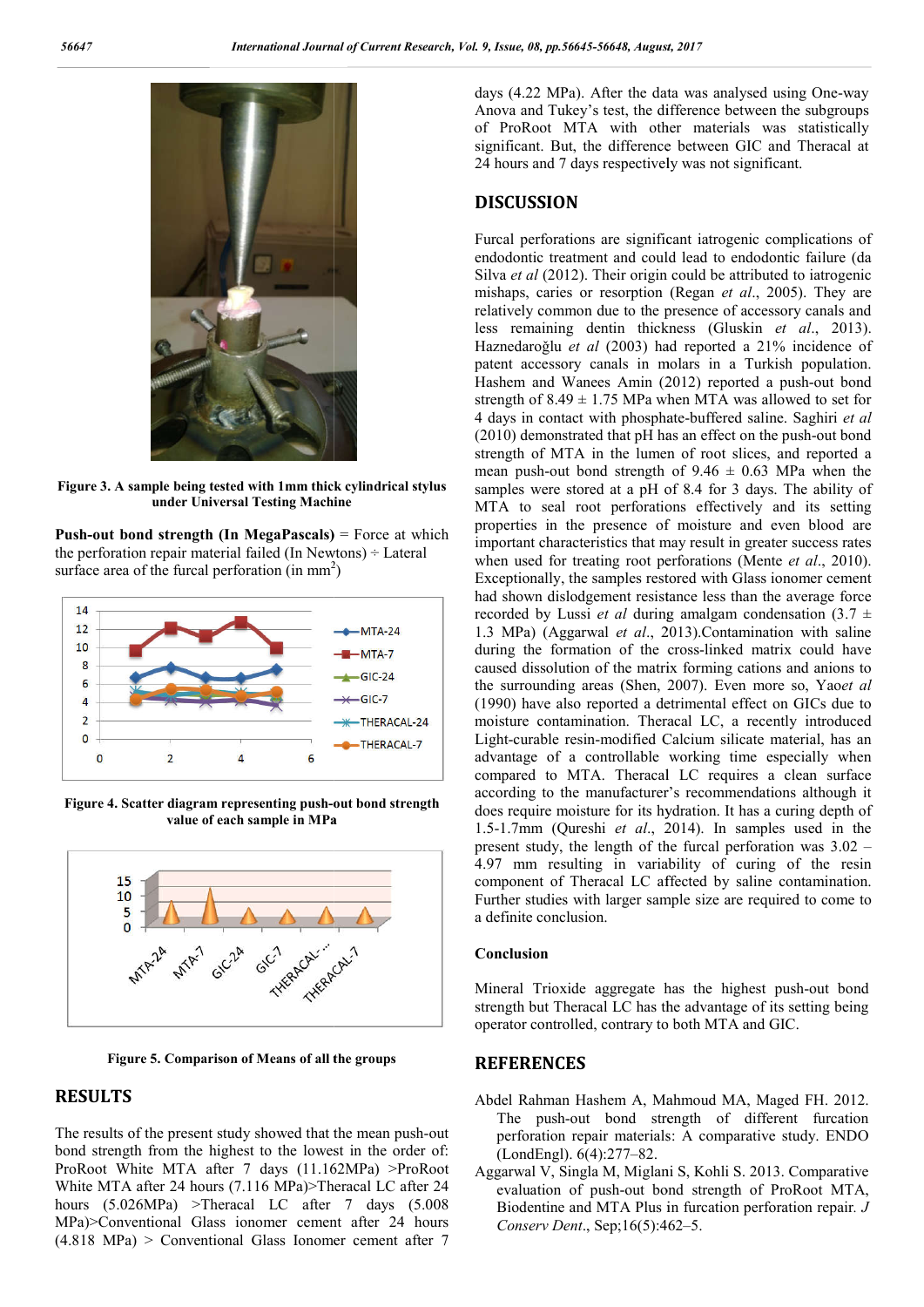

**Figure 3. A sample being tested with 1mm thick cylindrical stylus under Universal Testing Machine**

**Push-out bond strength (In MegaPascals)** = Force at which the perforation repair material failed (In Newtons)  $\div$  Lateral surface area of the furcal perforation (in mm<sup>2</sup>) surface area of the furcal perforation (in  $mm<sup>2</sup>$ )



**Figure 4. Scatter diagram representing push-out bond strength value of each sample in MPa**



**Figure 5. Comparison of Means of all the groups**

### **RESULTS**

The results of the present study showed that the mean push-out bond strength from the highest to the lowest in the order of: ProRoot White MTA after 7 days (11.162MPa) >ProRoot White MTA after 24 hours (7.116 MPa)>Theracal LC after 24 hours (5.026MPa) >Theracal LC after 7 days (5.008 MPa)>Conventional Glass ionomer cement after 24 hours (4.818 MPa) > Conventional Glass Ionomer cement after 7

Anova and Tukey's test, the difference between the subgroups Anova and Tukey's test, the difference between the subgroups<br>of ProRoot MTA with other materials was statistically significant. But, the difference between GIC and Theracal at 24 hours and 7 days respectively was not significant. days (4.22 MPa). After the data was analysed using One-way

#### **DISCUSSION**

days  $\frac{dy}{dx} = \frac{dx}{dx}$ <br>
After the data was analysed using Construction of the data was analysed using One of the data was analysed using One Defense the data was an expected was an expected using One Defense the data was Furcal perforations are significant iatrogenic complications of endodontic treatment and could lead to endodontic failure (da 24 hours and 7 days respectively was not significant.<br> **DISCUSSION**<br>
Furcal perforations are significant iatrogenic complications of<br>
endodontic treatment and could lead to endodontic failure (da<br>
Silva *et al* (2012). The mishaps, caries or resorption (Regan *et al.*, 2005). They are relatively common due to the presence of accessory canals and relatively common due to the presence of accessory canals and<br>less remaining dentin thickness (Gluskin *et al.*, 2013). Haznedaroğlu et al (2003) had reported a 21% incidence of patent accessory canals in molars in a Turkish population. patent accessory canals in molars in a Turkish population.<br>Hashem and Wanees Amin (2012) reported a push-out bond strength of  $8.49 \pm 1.75$  MPa when MTA was allowed to set for 4 days in contact with phosphate-buffered saline. Saghiri *et al* 4 days in contact with phosphate-buffered saline. Saghiri et al.  $(2010)$  demonstrated that pH has an effect on the push-out bond strength of MTA in the lumen of root slices, and reported a mean push-out bond strength of  $9.46 \pm 0.63$  MPa when the strength of MTA in the lumen of root slices, and reported a mean push-out bond strength of  $9.46 \pm 0.63$  MPa when the samples were stored at a pH of 8.4 for 3 days. The ability of MTA to seal root perforations effectively and its setting properties in the presence of moisture and even blood are important characteristics that may result in greater success rates when used for treating root perforations (Mente et al., 2010). Exceptionally, the samples restored with Glass ionomer cement had shown dislodgement resistance less than the average force recorded by Lussi *et al* during amalgam condensation  $(3.7 \pm$ 1.3 MPa) (Aggarwal *et al*., 2013) 2013).Contamination with saline during the formation of the cross-linked matrix could have caused dissolution of the matrix forming cations and anions to the surrounding areas (Shen, 2007) 2007). Even more so, Yao*et al* (1990) have also reported a detrimental effect on GICs due to (1990) have also reported a detrimental effect on GICs due to moisture contamination. Theracal LC, a recently introduced Light-curable resin-modified Calcium silicate material, has an advantage of a controllable working time especially when compared to MTA. Theracal LC requires a clean surface according to the manufacturer's recommendations although it does require moisture for its hydration. It has a curing depth of 1.5-1.7mm (Qureshi *et al*., 2014 2014). In samples used in the present study, the length of the furcal perforation was  $3.02 -$ 4.97 mm resulting in variability of curing of the resin component of Theracal LC affected by saline contamination. Further studies with larger sample size are required to come to a definite conclusion. Further studies with larger sample size are required to come to<br>a definite conclusion.<br>**Conclusion**<br>Mineral Trioxide aggregate has the highest push-out bond in the presence of moisture and even blood are characteristics that may result in greater success rates 1 for treating root perforations (Mente *et al.*, 2010). restored with Glass ionomer cement<br>esistance less than the average force<br>uring amalgam condensation  $(3.7 \pm$ of a controllable working time especially when<br>to MTA. Theracal LC requires a clean surface<br>to the manufacturer's recommendations although it<br>e moisture for its hydration. It has a curing depth of

#### **Conclusion**

strength but Theracal LC has the advantage of its setting being operator controlled, contrary to both MTA and GIC.

#### **REFERENCES**

- operator controlled, contrary to both MTA and GIC.<br> **REFERENCES**<br>
Abdel Rahman Hashem A, Mahmoud MA, Maged FH. 2012. The push-out bond strength of different furcation perforation repair materials: A comparative study. ENDO (LondEngl). 6(4):277–82.
- Aggarwal V, Singla M, Miglani S, Kohli S. 2013. Comparative evaluation of push-out bond strength of ProRoot MTA, evaluation of push-out bond strength of ProRoot MTA,<br>Biodentine and MTA Plus in furcation perforation repair. *J* Conserv Dent., Sep;16(5):462-5.